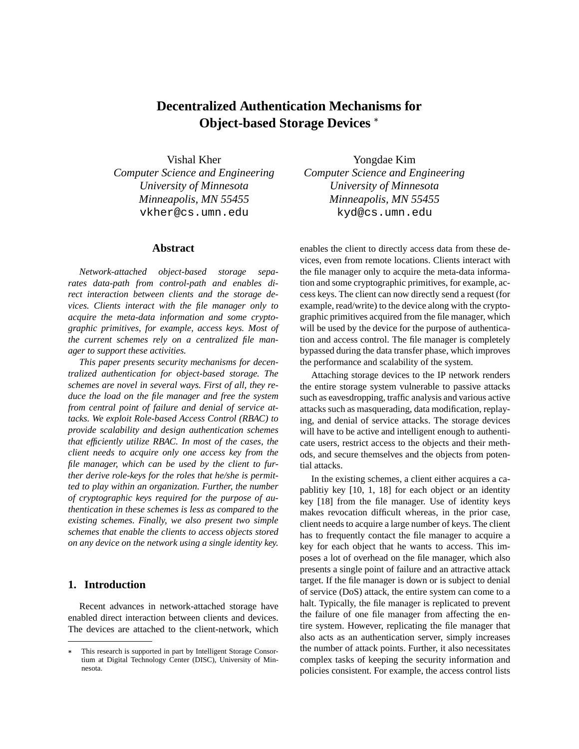# **Decentralized Authentication Mechanisms for Object-based Storage Devices**

Vishal Kher *Computer Science and Engineering University of Minnesota Minneapolis, MN 55455* vkher@cs.umn.edu

### **Abstract**

*Network-attached object-based storage separates data-path from control-path and enables direct interaction between clients and the storage devices. Clients interact with the file manager only to acquire the meta-data information and some cryptographic primitives, for example, access keys. Most of the current schemes rely on a centralized file manager to support these activities.*

*This paper presents security mechanisms for decentralized authentication for object-based storage. The schemes are novel in several ways. First of all, they reduce the load on the file manager and free the system from central point of failure and denial of service attacks. We exploit Role-based Access Control (RBAC) to provide scalability and design authentication schemes that efficiently utilize RBAC. In most of the cases, the client needs to acquire only one access key from the file manager, which can be used by the client to further derive role-keys for the roles that he/she is permitted to play within an organization. Further, the number of cryptographic keys required for the purpose of authentication in these schemes is less as compared to the existing schemes. Finally, we also present two simple schemes that enable the clients to access objects stored on any device on the network using a single identity key.*

# **1. Introduction**

Recent advances in network-attached storage have enabled direct interaction between clients and devices. The devices are attached to the client-network, which

Yongdae Kim *Computer Science and Engineering University of Minnesota Minneapolis, MN 55455* kyd@cs.umn.edu

enables the client to directly access data from these devices, even from remote locations. Clients interact with the file manager only to acquire the meta-data information and some cryptographic primitives, for example, access keys. The client can now directly send a request (for example, read/write) to the device along with the cryptographic primitives acquired from the file manager, which will be used by the device for the purpose of authentication and access control. The file manager is completely bypassed during the data transfer phase, which improves the performance and scalability of the system.

Attaching storage devices to the IP network renders the entire storage system vulnerable to passive attacks such as eavesdropping, traffic analysis and various active attacks such as masquerading, data modification, replaying, and denial of service attacks. The storage devices will have to be active and intelligent enough to authenticate users, restrict access to the objects and their methods, and secure themselves and the objects from potential attacks.

In the existing schemes, a client either acquires a capablitiy key [10, 1, 18] for each object or an identity key [18] from the file manager. Use of identity keys makes revocation difficult whereas, in the prior case, client needs to acquire a large number of keys. The client has to frequently contact the file manager to acquire a key for each object that he wants to access. This imposes a lot of overhead on the file manager, which also presents a single point of failure and an attractive attack target. If the file manager is down or is subject to denial of service (DoS) attack, the entire system can come to a halt. Typically, the file manager is replicated to prevent the failure of one file manager from affecting the entire system. However, replicating the file manager that also acts as an authentication server, simply increases the number of attack points. Further, it also necessitates complex tasks of keeping the security information and policies consistent. For example, the access control lists

This research is supported in part by Intelligent Storage Consortium at Digital Technology Center (DISC), University of Minnesota.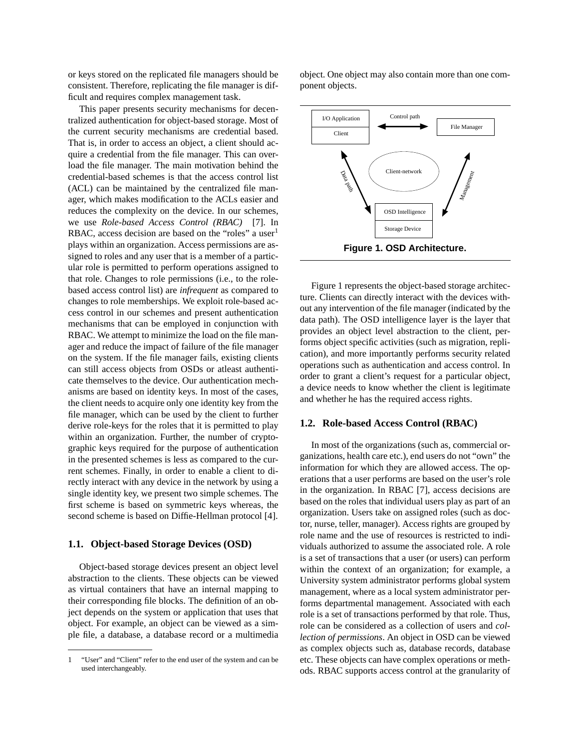or keys stored on the replicated file managers should be consistent. Therefore, replicating the file manager is difficult and requires complex management task.

This paper presents security mechanisms for decentralized authentication for object-based storage. Most of the current security mechanisms are credential based. That is, in order to access an object, a client should acquire a credential from the file manager. This can overload the file manager. The main motivation behind the credential-based schemes is that the access control list (ACL) can be maintained by the centralized file manager, which makes modification to the ACLs easier and reduces the complexity on the device. In our schemes, we use *Role-based Access Control (RBAC)* [7]. In RBAC, access decision are based on the "roles" a user<sup>1</sup> plays within an organization. Access permissions are assigned to roles and any user that is a member of a particular role is permitted to perform operations assigned to that role. Changes to role permissions (i.e., to the rolebased access control list) are *infrequent* as compared to changes to role memberships. We exploit role-based access control in our schemes and present authentication mechanisms that can be employed in conjunction with RBAC. We attempt to minimize the load on the file manager and reduce the impact of failure of the file manager on the system. If the file manager fails, existing clients can still access objects from OSDs or atleast authenticate themselves to the device. Our authentication mechanisms are based on identity keys. In most of the cases, the client needs to acquire only one identity key from the file manager, which can be used by the client to further derive role-keys for the roles that it is permitted to play within an organization. Further, the number of cryptographic keys required for the purpose of authentication in the presented schemes is less as compared to the current schemes. Finally, in order to enable a client to directly interact with any device in the network by using a single identity key, we present two simple schemes. The first scheme is based on symmetric keys whereas, the second scheme is based on Diffie-Hellman protocol [4].

#### **1.1. Object-based Storage Devices (OSD)**

Object-based storage devices present an object level abstraction to the clients. These objects can be viewed as virtual containers that have an internal mapping to their corresponding file blocks. The definition of an object depends on the system or application that uses that object. For example, an object can be viewed as a simple file, a database, a database record or a multimedia

object. One object may also contain more than one component objects.



Figure 1 represents the object-based storage architecture. Clients can directly interact with the devices without any intervention of the file manager (indicated by the data path). The OSD intelligence layer is the layer that provides an object level abstraction to the client, performs object specific activities (such as migration, replication), and more importantly performs security related operations such as authentication and access control. In order to grant a client's request for a particular object, a device needs to know whether the client is legitimate and whether he has the required access rights.

#### **1.2. Role-based Access Control (RBAC)**

In most of the organizations (such as, commercial organizations, health care etc.), end users do not "own" the information for which they are allowed access. The operations that a user performs are based on the user's role in the organization. In RBAC [7], access decisions are based on the roles that individual users play as part of an organization. Users take on assigned roles (such as doctor, nurse, teller, manager). Access rights are grouped by role name and the use of resources is restricted to individuals authorized to assume the associated role. A role is a set of transactions that a user (or users) can perform within the context of an organization; for example, a University system administrator performs global system management, where as a local system administrator performs departmental management. Associated with each role is a set of transactions performed by that role. Thus, role can be considered as a collection of users and *collection of permissions*. An object in OSD can be viewed as complex objects such as, database records, database etc. These objects can have complex operations or methods. RBAC supports access control at the granularity of

<sup>1</sup> "User" and "Client" refer to the end user of the system and can be used interchangeably.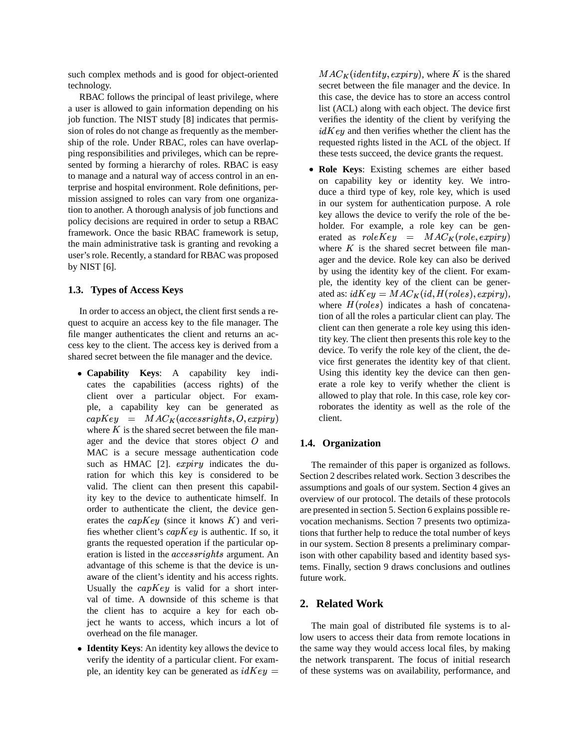such complex methods and is good for object-oriented technology.

RBAC follows the principal of least privilege, where a user is allowed to gain information depending on his job function. The NIST study [8] indicates that permission of roles do not change as frequently as the membership of the role. Under RBAC, roles can have overlapping responsibilities and privileges, which can be represented by forming a hierarchy of roles. RBAC is easy to manage and a natural way of access control in an enterprise and hospital environment. Role definitions, permission assigned to roles can vary from one organization to another. A thorough analysis of job functions and policy decisions are required in order to setup a RBAC framework. Once the basic RBAC framework is setup, the main administrative task is granting and revoking a user's role. Recently, a standard for RBAC was proposed by NIST [6].

# **1.3. Types of Access Keys**

In order to access an object, the client first sends a request to acquire an access key to the file manager. The file manger authenticates the client and returns an access key to the client. The access key is derived from a shared secret between the file manager and the device.

- **Capability Keys**: A capability key indicates the capabilities (access rights) of the client over a particular object. For example, a capability key can be generated as -  - "!\$#%'&)(&\*+", " where  $K$  is the shared secret between the file manager and the device that stores object  $O$  and 1.4. MAC is a secure message authentication code such as HMAC  $[2]$ .  $\expiry$  indicates the duration for which this key is considered to be valid. The client can then present this capability key to the device to authenticate himself. In order to authenticate the client, the device generates the  $capKey$  (since it knows K) and veri- vo fies whether client's  $capKey$  is authentic. If so, it grants the requested operation if the particular operation is listed in the *accessrights* argument. An advantage of this scheme is that the device is unaware of the client's identity and his access rights. Usually the  $capKey$  is valid for a short interval of time. A downside of this scheme is that the client has to acquire a key for each object he wants to access, which incurs a lot of overhead on the file manager.
- **Identity Keys**: An identity key allows the device to verify the identity of a particular client. For example, an identity key can be generated as  $idKey =$

 $MAC_K(identity, expiry)$ , where K is the shared secret between the file manager and the device. In this case, the device has to store an access control list (ACL) along with each object. The device first verifies the identity of the client by verifying the  $idKey$  and then verifies whether the client has the requested rights listed in the ACL of the object. If these tests succeed, the device grants the request.

 **Role Keys**: Existing schemes are either based on capability key or identity key. We introduce a third type of key, role key, which is used in our system for authentication purpose. A role key allows the device to verify the role of the beholder. For example, a role key can be generated as  $roleKey = MAC_K(role, expiry)$ where  $K$  is the shared secret between file manager and the device. Role key can also be derived by using the identity key of the client. For example, the identity key of the client can be generated as:  $idKey = MAC_K(id, H(roles), expiry),$ where  $H(roles)$  indicates a hash of concatenation of all the roles a particular client can play. The client can then generate a role key using this identity key. The client then presents this role key to the device. To verify the role key of the client, the device first generates the identity key of that client. Using this identity key the device can then generate a role key to verify whether the client is allowed to play that role. In this case, role key corroborates the identity as well as the role of the client.

#### **1.4. Organization**

The remainder of this paper is organized as follows. Section 2 describes related work. Section 3 describes the assumptions and goals of our system. Section 4 gives an overview of our protocol. The details of these protocols are presented in section 5. Section 6 explains possible revocation mechanisms. Section 7 presents two optimizations that further help to reduce the total number of keys in our system. Section 8 presents a preliminary comparison with other capability based and identity based systems. Finally, section 9 draws conclusions and outlines future work.

# **2. Related Work**

 $y =$  of these systems was on availability, performance, and The main goal of distributed file systems is to allow users to access their data from remote locations in the same way they would access local files, by making the network transparent. The focus of initial research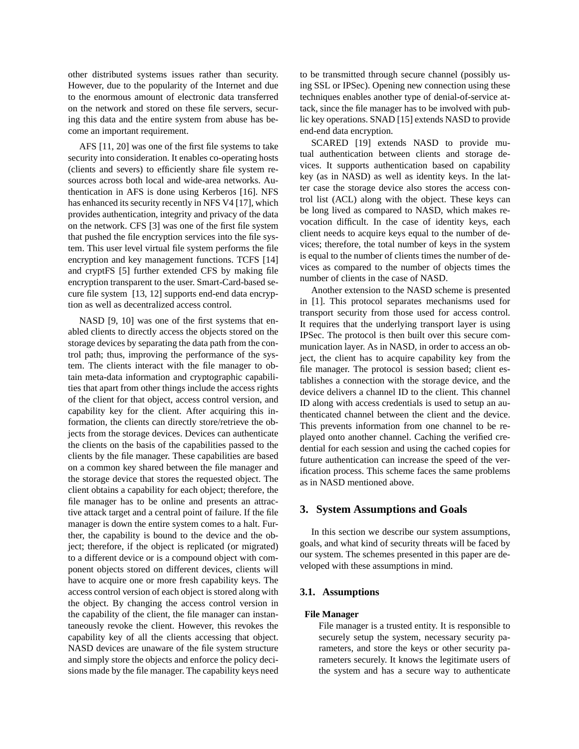other distributed systems issues rather than security. However, due to the popularity of the Internet and due to the enormous amount of electronic data transferred on the network and stored on these file servers, securing this data and the entire system from abuse has become an important requirement.

AFS [11, 20] was one of the first file systems to take security into consideration. It enables co-operating hosts (clients and severs) to efficiently share file system resources across both local and wide-area networks. Authentication in AFS is done using Kerberos [16]. NFS has enhanced its security recently in NFS V4 [17], which provides authentication, integrity and privacy of the data on the network. CFS [3] was one of the first file system that pushed the file encryption services into the file system. This user level virtual file system performs the file encryption and key management functions. TCFS [14] and cryptFS [5] further extended CFS by making file encryption transparent to the user. Smart-Card-based secure file system [13, 12] supports end-end data encryption as well as decentralized access control.

NASD [9, 10] was one of the first systems that enabled clients to directly access the objects stored on the storage devices by separating the data path from the control path; thus, improving the performance of the system. The clients interact with the file manager to obtain meta-data information and cryptographic capabilities that apart from other things include the access rights of the client for that object, access control version, and capability key for the client. After acquiring this information, the clients can directly store/retrieve the objects from the storage devices. Devices can authenticate the clients on the basis of the capabilities passed to the clients by the file manager. These capabilities are based on a common key shared between the file manager and the storage device that stores the requested object. The client obtains a capability for each object; therefore, the file manager has to be online and presents an attractive attack target and a central point of failure. If the file manager is down the entire system comes to a halt. Further, the capability is bound to the device and the object; therefore, if the object is replicated (or migrated) to a different device or is a compound object with component objects stored on different devices, clients will have to acquire one or more fresh capability keys. The access control version of each object is stored along with the object. By changing the access control version in the capability of the client, the file manager can instantaneously revoke the client. However, this revokes the capability key of all the clients accessing that object. NASD devices are unaware of the file system structure and simply store the objects and enforce the policy decisions made by the file manager. The capability keys need

to be transmitted through secure channel (possibly using SSL or IPSec). Opening new connection using these techniques enables another type of denial-of-service attack, since the file manager has to be involved with public key operations. SNAD [15] extends NASD to provide end-end data encryption.

SCARED [19] extends NASD to provide mutual authentication between clients and storage devices. It supports authentication based on capability key (as in NASD) as well as identity keys. In the latter case the storage device also stores the access control list (ACL) along with the object. These keys can be long lived as compared to NASD, which makes revocation difficult. In the case of identity keys, each client needs to acquire keys equal to the number of devices; therefore, the total number of keys in the system is equal to the number of clients times the number of devices as compared to the number of objects times the number of clients in the case of NASD.

Another extension to the NASD scheme is presented in [1]. This protocol separates mechanisms used for transport security from those used for access control. It requires that the underlying transport layer is using IPSec. The protocol is then built over this secure communication layer. As in NASD, in order to access an object, the client has to acquire capability key from the file manager. The protocol is session based; client establishes a connection with the storage device, and the device delivers a channel ID to the client. This channel ID along with access credentials is used to setup an authenticated channel between the client and the device. This prevents information from one channel to be replayed onto another channel. Caching the verified credential for each session and using the cached copies for future authentication can increase the speed of the verification process. This scheme faces the same problems as in NASD mentioned above.

# **3. System Assumptions and Goals**

In this section we describe our system assumptions, goals, and what kind of security threats will be faced by our system. The schemes presented in this paper are developed with these assumptions in mind.

# **3.1. Assumptions**

#### **File Manager**

File manager is a trusted entity. It is responsible to securely setup the system, necessary security parameters, and store the keys or other security parameters securely. It knows the legitimate users of the system and has a secure way to authenticate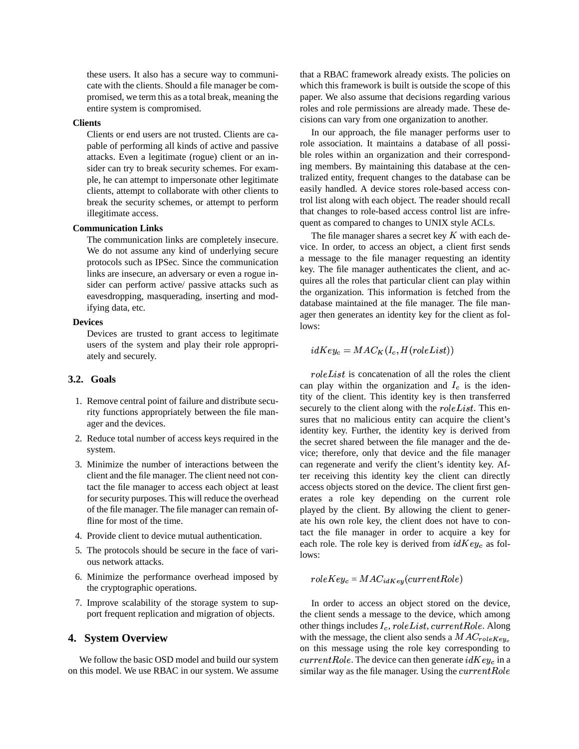these users. It also has a secure way to communicate with the clients. Should a file manager be compromised, we term this as a total break, meaning the entire system is compromised.

# **Clients**

Clients or end users are not trusted. Clients are capable of performing all kinds of active and passive attacks. Even a legitimate (rogue) client or an insider can try to break security schemes. For example, he can attempt to impersonate other legitimate clients, attempt to collaborate with other clients to break the security schemes, or attempt to perform illegitimate access.

### **Communication Links**

The communication links are completely insecure. We do not assume any kind of underlying secure protocols such as IPSec. Since the communication links are insecure, an adversary or even a rogue insider can perform active/ passive attacks such as eavesdropping, masquerading, inserting and modifying data, etc.

#### **Devices**

Devices are trusted to grant access to legitimate users of the system and play their role appropriately and securely.

# **3.2. Goals**

- 1. Remove central point of failure and distribute security functions appropriately between the file manager and the devices.
- 2. Reduce total number of access keys required in the system.
- 3. Minimize the number of interactions between the client and the file manager. The client need not contact the file manager to access each object at least for security purposes. This will reduce the overhead of the file manager. The file manager can remain offline for most of the time.
- 4. Provide client to device mutual authentication.
- 5. The protocols should be secure in the face of various network attacks.
- 6. Minimize the performance overhead imposed by the cryptographic operations.
- 7. Improve scalability of the storage system to support frequent replication and migration of objects.

#### **4. System Overview**

We follow the basic OSD model and build our system on this model. We use RBAC in our system. We assume that a RBAC framework already exists. The policies on which this framework is built is outside the scope of this paper. We also assume that decisions regarding various roles and role permissions are already made. These decisions can vary from one organization to another.

In our approach, the file manager performs user to role association. It maintains a database of all possible roles within an organization and their corresponding members. By maintaining this database at the centralized entity, frequent changes to the database can be easily handled. A device stores role-based access control list along with each object. The reader should recall that changes to role-based access control list are infrequent as compared to changes to UNIX style ACLs.

The file manager shares a secret key  $K$  with each device. In order, to access an object, a client first sends a message to the file manager requesting an identity key. The file manager authenticates the client, and acquires all the roles that particular client can play within the organization. This information is fetched from the database maintained at the file manager. The file manager then generates an identity key for the client as follows:

.120  4-& ? <;= #%-%-

 $roleList$  is concatenation of all the roles the client can play within the organization and  $I_c$  is the identity of the client. This identity key is then transferred securely to the client along with the  $roleList$ . This ensures that no malicious entity can acquire the client's identity key. Further, the identity key is derived from the secret shared between the file manager and the device; therefore, only that device and the file manager can regenerate and verify the client's identity key. After receiving this identity key the client can directly access objects stored on the device. The client first generates a role key depending on the current role played by the client. By allowing the client to generate his own role key, the client does not have to contact the file manager in order to acquire a key for each role. The role key is derived from  $idKey_c$  as follows:

$$
roleKey_c = MAC_{idKey}(currentRole)
$$

In order to access an object stored on the device, the client sends a message to the device, which among other things includes  $I_c$ ,  $roleList$ ,  $currentRole$ . Along with the message, the client also sends a  $MAC_{roleKey_c}$ on this message using the role key corresponding to  $currentRole$ . The device can then generate  $idKey_c$  in a similar way as the file manager. Using the  $currentRole$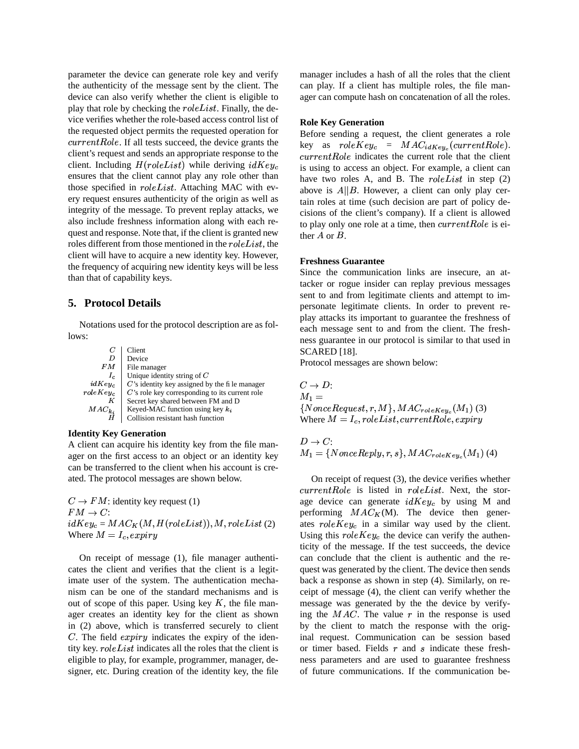parameter the device can generate role key and verify the authenticity of the message sent by the client. The device can also verify whether the client is eligible to play that role by checking the  $roleList$ . Finally, the device verifies whether the role-based access control list of the requested object permits the requested operation for  $currentRole$ . If all tests succeed, the device grants the client's request and sends an appropriate response to the client. Including  $H(roleList)$  while deriving  $idKey<sub>c</sub>$ ensures that the client cannot play any role other than those specified in  $roleList$ . Attaching MAC with every request ensures authenticity of the origin as well as integrity of the message. To prevent replay attacks, we also include freshness information along with each request and response. Note that, if the client is granted new roles different from those mentioned in the  $roleList$ , the client will have to acquire a new identity key. However, the frequency of acquiring new identity keys will be less than that of capability keys.

# **5. Protocol Details**

Notations used for the protocol description are as follows:

 $C$  Client  $\boldsymbol{D}$ Device  $FM$  File manager  $I_c$  Unique identity string of C  $idKey_c$  $dKey_c$  | C's identity key assigned by the file manager  $roleKey_c$  | C's role key corresponding to its current role  $K$  Secret key shared between FM and D  $H$  | Collision resistant hash function Keyed-MAC function using key  $k_i$ 

#### **Identity Key Generation**

A client can acquire his identity key from the file manager on the first access to an object or an identity key can be transferred to the client when his account is created. The protocol messages are shown below.

 $C \to FM$ : identity key request (1)  $FM \rightarrow C$ :  $idKey_c = MAC_K(M, H(roleList)), M, roleList~(2)$ Where  $M = I_c, expiry$ 

On receipt of message (1), file manager authenticates the client and verifies that the client is a legitimate user of the system. The authentication mechanism can be one of the standard mechanisms and is out of scope of this paper. Using key  $K$ , the file manager creates an identity key for the client as shown in (2) above, which is transferred securely to client  $C$ . The field *expiry* indicates the expiry of the identity key.  $roleList$  indicates all the roles that the client is eligible to play, for example, programmer, manager, designer, etc. During creation of the identity key, the file

manager includes a hash of all the roles that the client can play. If a client has multiple roles, the file manager can compute hash on concatenation of all the roles.

#### **Role Key Generation**

Before sending a request, the client generates a role key as  $roleKey_c = MAC_{idKey_c}(currentRole).$  $currentRole$  indicates the current role that the client is using to access an object. For example, a client can have two roles A, and B. The  $roleList$  in step (2) above is  $A||B$ . However, a client can only play certain roles at time (such decision are part of policy decisions of the client's company). If a client is allowed to play only one role at a time, then  $currentRole$  is either  $A$  or  $B$ .

#### **Freshness Guarantee**

Since the communication links are insecure, an attacker or rogue insider can replay previous messages sent to and from legitimate clients and attempt to impersonate legitimate clients. In order to prevent replay attacks its important to guarantee the freshness of each message sent to and from the client. The freshness guarantee in our protocol is similar to that used in SCARED [18].

Protocol messages are shown below:

 $C \rightarrow D$ :  $M_1 =$  $\{NoneRequest, r, M\}, MAC_{roleKey_c}(M_1)$  (3) Where  $M = I_c$ ,  $roleList, currentRole, exprir$ 

 $D \to C$ :  $M_1 = \{NoneReply, r, s\}, MAC_{roleKey_c}(M_1)$  (4)

On receipt of request (3), the device verifies whether  $currentRole$  is listed in  $roleList$ . Next, the storage device can generate  $idKey_c$  by using M and performing  $MAC_K(M)$ . The device then generates  $roleKey_c$  in a similar way used by the client. Using this  $roleKey_c$  the device can verify the authenticity of the message. If the test succeeds, the device can conclude that the client is authentic and the request was generated by the client. The device then sends back a response as shown in step (4). Similarly, on receipt of message (4), the client can verify whether the message was generated by the the device by verifying the  $MAC$ . The value r in the response is used by the client to match the response with the original request. Communication can be session based or timer based. Fields  $r$  and  $s$  indicate these freshness parameters and are used to guarantee freshness of future communications. If the communication be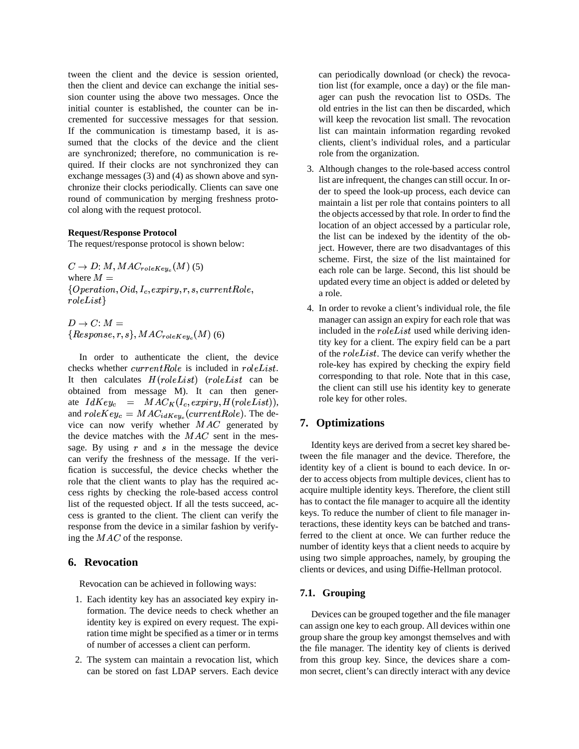tween the client and the device is session oriented, then the client and device can exchange the initial session counter using the above two messages. Once the initial counter is established, the counter can be incremented for successive messages for that session. If the communication is timestamp based, it is assumed that the clocks of the device and the client are synchronized; therefore, no communication is required. If their clocks are not synchronized they can exchange messages (3) and (4) as shown above and synchronize their clocks periodically. Clients can save one round of communication by merging freshness protocol along with the request protocol.

#### **Request/Response Protocol**

The request/response protocol is shown below:

 $C \to D: M, MAC_{roleKey_c}(M)$  (5) where  $M =$  $\{\bigcap_{x\in I} a_{x}: A(x)\in I\}$  ,  $\{x\in I, a_{x}\}$  ,  $\{x\in I, a_{x}\}$  $roleList\}$ 

 $D \to C$ :  $M =$  $\{Response, r, s\}, MAC_{roleKey_c}(M)$  (6)

In order to authenticate the client, the device checks whether  $currentRole$  is included in  $roleList$ . It then calculates  $H(roleList)$  ( $roleList$  can be obtained from message M). It can then generate  $IdKey_c = MAC_K(I_c, expiry, H(roleList)),$ and  $roleKey_c = MAC_{idKey_c}(currentRole)$ . The device can now verify whether  $MAC$  generated by the device matches with the  $MAC$  sent in the message. By using  $r$  and  $s$  in the message the device can verify the freshness of the message. If the verification is successful, the device checks whether the role that the client wants to play has the required access rights by checking the role-based access control list of the requested object. If all the tests succeed, access is granted to the client. The client can verify the response from the device in a similar fashion by verifying the  $MAC$  of the response.

# **6. Revocation**

Revocation can be achieved in following ways:

- 1. Each identity key has an associated key expiry information. The device needs to check whether an identity key is expired on every request. The expiration time might be specified as a timer or in terms of number of accesses a client can perform.
- 2. The system can maintain a revocation list, which can be stored on fast LDAP servers. Each device

can periodically download (or check) the revocation list (for example, once a day) or the file manager can push the revocation list to OSDs. The old entries in the list can then be discarded, which will keep the revocation list small. The revocation list can maintain information regarding revoked clients, client's individual roles, and a particular role from the organization.

- 3. Although changes to the role-based access control list are infrequent, the changes can still occur. In order to speed the look-up process, each device can maintain a list per role that contains pointers to all the objects accessed by that role. In order to find the location of an object accessed by a particular role, the list can be indexed by the identity of the object. However, there are two disadvantages of this scheme. First, the size of the list maintained for each role can be large. Second, this list should be updated every time an object is added or deleted by a role.
- 4. In order to revoke a client's individual role, the file manager can assign an expiry for each role that was included in the  $roleList$  used while deriving identity key for a client. The expiry field can be a part of the  $roleList$ . The device can verify whether the role-key has expired by checking the expiry field corresponding to that role. Note that in this case, the client can still use his identity key to generate role key for other roles.

# **7. Optimizations**

Identity keys are derived from a secret key shared between the file manager and the device. Therefore, the identity key of a client is bound to each device. In order to access objects from multiple devices, client has to acquire multiple identity keys. Therefore, the client still has to contact the file manager to acquire all the identity keys. To reduce the number of client to file manager interactions, these identity keys can be batched and transferred to the client at once. We can further reduce the number of identity keys that a client needs to acquire by using two simple approaches, namely, by grouping the clients or devices, and using Diffie-Hellman protocol.

# **7.1. Grouping**

Devices can be grouped together and the file manager can assign one key to each group. All devices within one group share the group key amongst themselves and with the file manager. The identity key of clients is derived from this group key. Since, the devices share a common secret, client's can directly interact with any device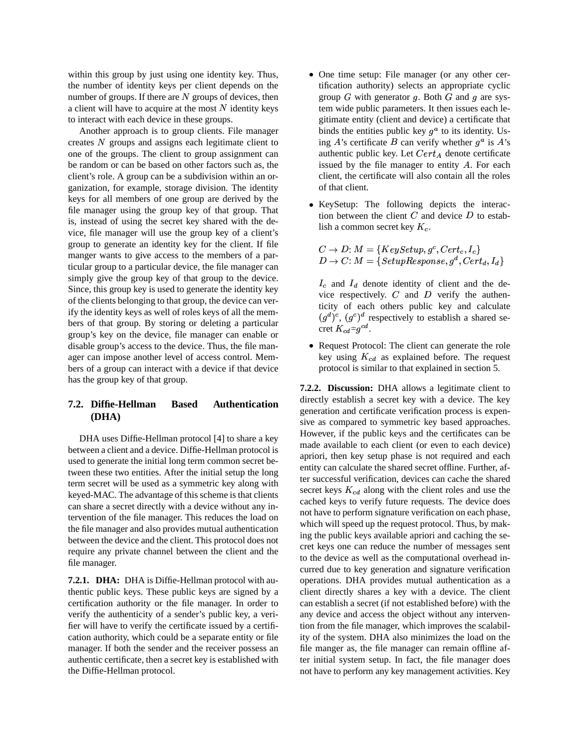within this group by just using one identity key. Thus, the number of identity keys per client depends on the number of groups. If there are  $N$  groups of devices, then a client will have to acquire at the most  $N$  identity keys to interact with each device in these groups.

Another approach is to group clients. File manager creates  $N$  groups and assigns each legitimate client to one of the groups. The client to group assignment can be random or can be based on other factors such as, the client's role. A group can be a subdivision within an organization, for example, storage division. The identity keys for all members of one group are derived by the file manager using the group key of that group. That is, instead of using the secret key shared with the device, file manager will use the group key of a client's group to generate an identity key for the client. If file manger wants to give access to the members of a particular group to a particular device, the file manager can simply give the group key of that group to the device. Since, this group key is used to generate the identity key of the clients belonging to that group, the device can verify the identity keys as well of roles keys of all the members of that group. By storing or deleting a particular group's key on the device, file manager can enable or disable group's access to the device. Thus, the file manager can impose another level of access control. Members of a group can interact with a device if that device has the group key of that group.

# **7.2. Diffie-Hellman Based Authentication (DHA)**

DHA uses Diffie-Hellman protocol [4] to share a key between a client and a device. Diffie-Hellman protocol is used to generate the initial long term common secret between these two entities. After the initial setup the long term secret will be used as a symmetric key along with keyed-MAC. The advantage of this scheme is that clients can share a secret directly with a device without any intervention of the file manager. This reduces the load on the file manager and also provides mutual authentication between the device and the client. This protocol does not require any private channel between the client and the file manager.

**7.2.1. DHA:** DHA is Diffie-Hellman protocol with authentic public keys. These public keys are signed by a certification authority or the file manager. In order to verify the authenticity of a sender's public key, a verifier will have to verify the certificate issued by a certification authority, which could be a separate entity or file manager. If both the sender and the receiver possess an authentic certificate, then a secret key is established with the Diffie-Hellman protocol.

- One time setup: File manager (or any other certification authority) selects an appropriate cyclic group  $G$  with generator  $g$ . Both  $G$  and  $g$  are system wide public parameters. It then issues each legitimate entity (client and device) a certificate that binds the entities public key  $g^a$  to its identity. Using A's certificate B can verify whether  $g^a$  is A's authentic public key. Let  $Cert_A$  denote certificate issued by the file manager to entity  $A$ . For each client, the certificate will also contain all the roles of that client.
- KeySetup: The following depicts the interaction between the client  $C$  and device  $D$  to establish a common secret key  $K_c$ .

$$
C \rightarrow D: M = \{KeySetup, g^c, Cert_c, I_c\} D \rightarrow C: M = \{SetupResponse, g^d, Cert_d, I_d\}
$$

 $I_c$  and  $I_d$  denote identity of client and the device respectively.  $C$  and  $D$  verify the authenticity of each others public key and calculate  $(g^d)^c$ ,  $(g^c)^d$  respectively to establish a shared secret  $K_{cd}$ = $g^{cd}$ .

 Request Protocol: The client can generate the role key using  $K_{cd}$  as explained before. The request protocol is similar to that explained in section 5.

**7.2.2. Discussion:** DHA allows a legitimate client to directly establish a secret key with a device. The key generation and certificate verification process is expensive as compared to symmetric key based approaches. However, if the public keys and the certificates can be made available to each client (or even to each device) apriori, then key setup phase is not required and each entity can calculate the shared secret offline. Further, after successful verification, devices can cache the shared secret keys  $K_{cd}$  along with the client roles and use the cached keys to verify future requests. The device does not have to perform signature verification on each phase, which will speed up the request protocol. Thus, by making the public keys available apriori and caching the secret keys one can reduce the number of messages sent to the device as well as the computational overhead incurred due to key generation and signature verification operations. DHA provides mutual authentication as a client directly shares a key with a device. The client can establish a secret (if not established before) with the any device and access the object without any intervention from the file manager, which improves the scalability of the system. DHA also minimizes the load on the file manger as, the file manager can remain offline after initial system setup. In fact, the file manager does not have to perform any key management activities. Key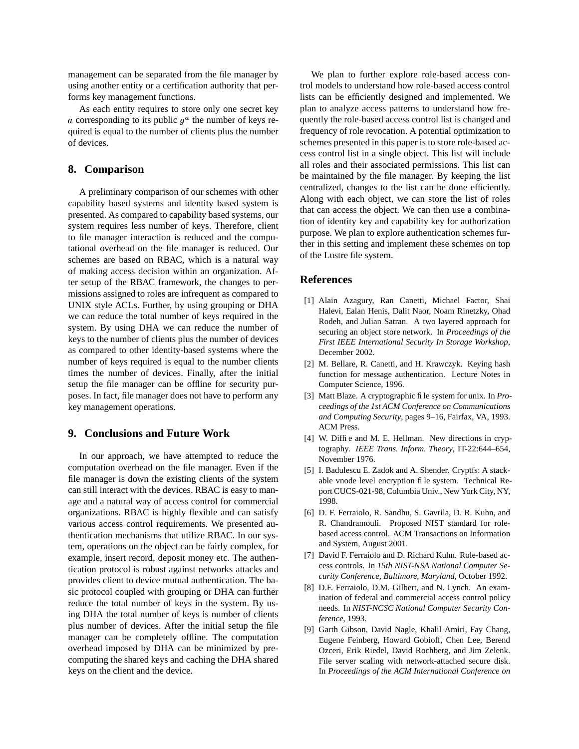management can be separated from the file manager by using another entity or a certification authority that performs key management functions.

As each entity requires to store only one secret key a corresponding to its public  $g^a$  the number of keys required is equal to the number of clients plus the number of devices.

# **8. Comparison**

A preliminary comparison of our schemes with other capability based systems and identity based system is presented. As compared to capability based systems, our system requires less number of keys. Therefore, client to file manager interaction is reduced and the computational overhead on the file manager is reduced. Our schemes are based on RBAC, which is a natural way of making access decision within an organization. After setup of the RBAC framework, the changes to permissions assigned to roles are infrequent as compared to UNIX style ACLs. Further, by using grouping or DHA we can reduce the total number of keys required in the system. By using DHA we can reduce the number of keys to the number of clients plus the number of devices as compared to other identity-based systems where the number of keys required is equal to the number clients times the number of devices. Finally, after the initial setup the file manager can be offline for security purposes. In fact, file manager does not have to perform any key management operations.

# **9. Conclusions and Future Work**

In our approach, we have attempted to reduce the computation overhead on the file manager. Even if the file manager is down the existing clients of the system can still interact with the devices. RBAC is easy to manage and a natural way of access control for commercial organizations. RBAC is highly flexible and can satisfy various access control requirements. We presented authentication mechanisms that utilize RBAC. In our system, operations on the object can be fairly complex, for example, insert record, deposit money etc. The authentication protocol is robust against networks attacks and provides client to device mutual authentication. The basic protocol coupled with grouping or DHA can further reduce the total number of keys in the system. By using DHA the total number of keys is number of clients plus number of devices. After the initial setup the file manager can be completely offline. The computation overhead imposed by DHA can be minimized by precomputing the shared keys and caching the DHA shared keys on the client and the device.

We plan to further explore role-based access control models to understand how role-based access control lists can be efficiently designed and implemented. We plan to analyze access patterns to understand how frequently the role-based access control list is changed and frequency of role revocation. A potential optimization to schemes presented in this paper is to store role-based access control list in a single object. This list will include all roles and their associated permissions. This list can be maintained by the file manager. By keeping the list centralized, changes to the list can be done efficiently. Along with each object, we can store the list of roles that can access the object. We can then use a combination of identity key and capability key for authorization purpose. We plan to explore authentication schemes further in this setting and implement these schemes on top of the Lustre file system.

# **References**

- [1] Alain Azagury, Ran Canetti, Michael Factor, Shai Halevi, Ealan Henis, Dalit Naor, Noam Rinetzky, Ohad Rodeh, and Julian Satran. A two layered approach for securing an object store network. In *Proceedings of the First IEEE International Security In Storage Workshop*, December 2002.
- [2] M. Bellare, R. Canetti, and H. Krawczyk. Keying hash function for message authentication. Lecture Notes in Computer Science, 1996.
- [3] Matt Blaze. A cryptographic file system for unix. In *Proceedings of the 1st ACM Conference on Communications and Computing Security*, pages 9–16, Fairfax, VA, 1993. ACM Press.
- [4] W. Diffie and M. E. Hellman. New directions in cryptography. *IEEE Trans. Inform. Theory*, IT-22:644–654, November 1976.
- [5] I. Badulescu E. Zadok and A. Shender. Cryptfs: A stackable vnode level encryption file system. Technical Report CUCS-021-98, Columbia Univ., New York City, NY, 1998.
- [6] D. F. Ferraiolo, R. Sandhu, S. Gavrila, D. R. Kuhn, and R. Chandramouli. Proposed NIST standard for rolebased access control. ACM Transactions on Information and System, August 2001.
- [7] David F. Ferraiolo and D. Richard Kuhn. Role-based access controls. In *15th NIST-NSA National Computer Security Conference, Baltimore, Maryland*, October 1992.
- [8] D.F. Ferraiolo, D.M. Gilbert, and N. Lynch. An examination of federal and commercial access control policy needs. In *NIST-NCSC National Computer Security Conference*, 1993.
- [9] Garth Gibson, David Nagle, Khalil Amiri, Fay Chang, Eugene Feinberg, Howard Gobioff, Chen Lee, Berend Ozceri, Erik Riedel, David Rochberg, and Jim Zelenk. File server scaling with network-attached secure disk. In *Proceedings of the ACM International Conference on*